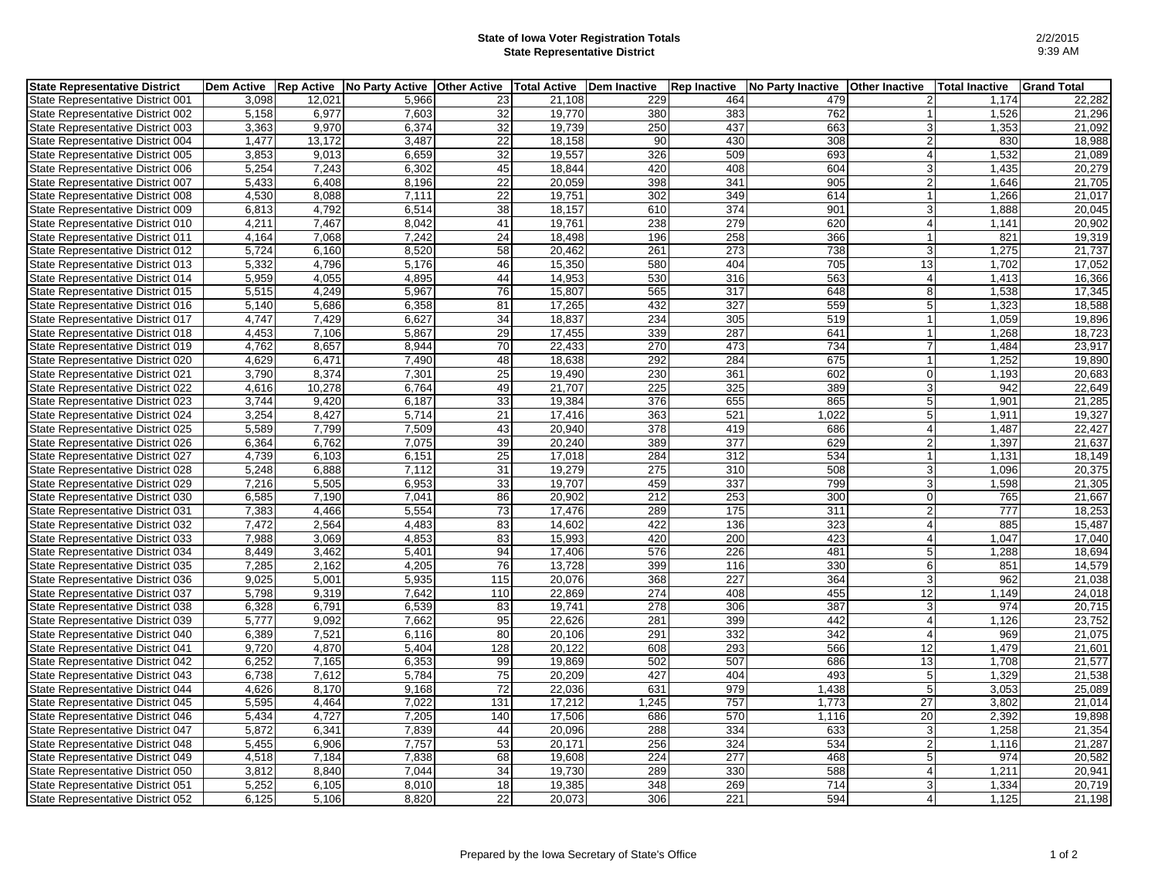## **State of Iowa Voter Registration Totals State Representative District**

| <b>State Representative District</b>     | <b>Dem Active</b> | <b>Rep Active</b> | <b>No Party Active</b> | <b>Other Active</b> | <b>Total Active</b> | <b>Dem Inactive</b> | <b>Rep Inactive</b> | <b>No Party Inactive</b> | <b>Other Inactive</b> | <b>Total Inactive</b> | <b>Grand Total</b> |
|------------------------------------------|-------------------|-------------------|------------------------|---------------------|---------------------|---------------------|---------------------|--------------------------|-----------------------|-----------------------|--------------------|
| State Representative District 001        | 3,098             | 12,021            | 5,966                  | 23                  | 21,108              | 229                 | 464                 | 479                      | $\overline{2}$        | 1,174                 | 22,282             |
| State Representative District 002        | 5,158             | 6,977             | 7,603                  | 32                  | 19.770              | 380                 | 383                 | 762                      |                       | 1,526                 | 21,296             |
| State Representative District 003        | 3,363             | 9,970             | 6,374                  | 32                  | 19,739              | 250                 | 437                 | 663                      | $\overline{3}$        | 1,353                 | 21,092             |
| State Representative District 004        | 1,477             | 13,172            | 3,487                  | 22                  | 18,158              | 90                  | 430                 | 308                      | $\overline{2}$        | 830                   | 18,988             |
| State Representative District 005        | 3,853             | 9,013             | 6.659                  | 32                  | 19,557              | 326                 | 509                 | 693                      |                       | 1,532                 | 21,089             |
| State Representative District 006        | 5,254             | 7,243             | 6,302                  | 45                  | 18,844              | 420                 | 408                 | 604                      | 3 <sup>1</sup>        | 1,435                 | 20,279             |
| State Representative District 007        | 5,433             | 6,408             | 8,196                  | 22                  | 20,059              | 398                 | 341                 | 905                      | $\overline{2}$        | 1,646                 | 21,705             |
| State Representative District 008        | 4,530             | 8,088             | 7,111                  | 22                  | 19,751              | 302                 | 349                 | 614                      | 1                     | 1,266                 | 21,017             |
| State Representative District 009        | 6,813             | 4,792             | 6,514                  | 38                  | 18,157              | 610                 | 374                 | 901                      | 3                     | 1,888                 | 20,045             |
| State Representative District 010        | 4,211             | 7,467             | 8,042                  | 41                  | 19,761              | 238                 | $\overline{279}$    | 620                      | $\overline{4}$        | 1,141                 | 20,902             |
| State Representative District 011        | 4,164             | 7,068             | 7,242                  | 24                  | 18,498              | 196                 | 258                 | 366                      | 1                     | 821                   | 19,319             |
| State Representative District 012        | 5,724             | 6,160             | 8,520                  | 58                  | 20,462              | 261                 | $\overline{273}$    | 738                      | 3                     | 1,275                 | 21,737             |
| State Representative District 013        | 5,332             | 4,796             | 5,176                  | 46                  | 15,350              | 580                 | 404                 | 705                      | 13                    | 1,702                 | 17,052             |
| State Representative District 014        | 5,959             | 4,055             | 4,895                  | 44                  | 14,953              | 530                 | 316                 | 563                      | $\overline{4}$        | 1,413                 | 16,366             |
| State Representative District 015        | 5,515             | 4,249             | 5,967                  | 76                  | 15,807              | 565                 | $\overline{317}$    | 648                      | 8 <sup>1</sup>        | 1,538                 | 17,345             |
| State Representative District 016        | 5,140             | 5,686             | 6,358                  | 81                  | 17,265              | 432                 | 327                 | 559                      | 5 <sub>l</sub>        | 1,323                 | 18,588             |
| State Representative District 017        | 4,747             | 7,429             | 6,627                  | 34                  | 18,837              | 234                 | 305                 | 519                      | $\mathbf{1}$          | 1,059                 | 19,896             |
| State Representative District 018        | 4,453             | 7,106             | 5,867                  | 29                  | 17,455              | 339                 | 287                 | 641                      | 1                     | 1,268                 | 18,723             |
| State Representative District 019        | 4,762             | 8,657             | 8,944                  | 70                  | 22,433              | 270                 | 473                 | 734                      | $\overline{7}$        | 1,484                 | 23,917             |
| State Representative District 020        | 4,629             | 6,471             | 7,490                  | 48                  | 18,638              | 292                 | 284                 | 675                      |                       | 1,252                 | 19,890             |
| <b>State Representative District 021</b> | 3,790             | 8,374             | 7,301                  | 25                  | 19,490              | 230                 | 361                 | 602                      | $\overline{0}$        | 1,193                 | 20,683             |
| State Representative District 022        | 4,616             | 10,278            | 6,764                  | 49                  | 21,707              | 225                 | 325                 | 389                      | $\overline{3}$        | 942                   | 22,649             |
| State Representative District 023        | 3,744             | 9,420             | 6,187                  | 33                  | 19,384              | 376                 | 655                 | 865                      | 5                     | 1,901                 | 21,285             |
| State Representative District 024        | 3.254             | 8,427             | 5.714                  | 21                  | 17.416              | 363                 | 521                 | 1.022                    | 5                     | 1,911                 | 19,327             |
| State Representative District 025        | 5,589             | 7,799             | 7,509                  | 43                  | 20,940              | 378                 | 419                 | 686                      | $\overline{4}$        | 1,487                 | 22,427             |
| State Representative District 026        | 6,364             | 6.762             | 7.075                  | 39                  | 20.240              | 389                 | 377                 | 629                      | $\overline{2}$        | 1,397                 | 21,637             |
| State Representative District 027        | 4,739             | 6,103             | 6,151                  | 25                  | 17,018              | 284                 | 312                 | 534                      | $\mathbf{1}$          | 1,131                 | 18,149             |
| State Representative District 028        | 5,248             | 6,888             | 7,112                  | 31                  | 19,279              | 275                 | 310                 | 508                      | 3                     | 1,096                 | 20,375             |
| State Representative District 029        | 7,216             | 5,505             | 6.953                  | 33                  | 19.707              | 459                 | 337                 | 799                      | $\overline{3}$        | 1,598                 | 21,305             |
| State Representative District 030        | 6,585             | 7,190             | 7,041                  | 86                  | 20,902              | 212                 | 253                 | 300                      | $\overline{0}$        | 765                   | 21,667             |
| State Representative District 031        | 7,383             | 4,466             | 5,554                  | 73                  | 17,476              | 289                 | 175                 | 311                      | $\overline{2}$        | 777                   | 18,253             |
| State Representative District 032        | 7.472             | 2,564             | 4.483                  | 83                  | 14.602              | 422                 | 136                 | 323                      | $\overline{4}$        | 885                   | 15,487             |
| State Representative District 033        | 7,988             | 3,069             | 4,853                  | 83                  | 15,993              | 420                 | 200                 | 423                      | 4                     | 1,047                 | 17,040             |
| State Representative District 034        | 8,449             | 3,462             | 5.401                  | 94                  | 17,406              | 576                 | 226                 | 481                      | 5                     | 1,288                 | 18,694             |
| State Representative District 035        | 7,285             | 2,162             | 4,205                  | 76                  | 13,728              | 399                 | 116                 | 330                      | 6                     | 851                   | 14,579             |
| State Representative District 036        | 9,025             | 5,001             | 5,935                  | 115                 | 20,076              | 368                 | 227                 | 364                      | 3                     | 962                   | 21,038             |
| State Representative District 037        | 5,798             | 9,319             | 7,642                  | 110                 | 22,869              | 274                 | 408                 | 455                      | 12                    | 1.149                 | 24,018             |
| State Representative District 038        | 6,328             | 6,791             | 6,539                  | 83                  | 19,741              | 278                 | 306                 | 387                      | 3                     | 974                   | 20,715             |
| State Representative District 039        | 5,777             | 9,092             | 7,662                  | 95                  | 22,626              | 281                 | 399                 | 442                      | $\overline{4}$        | 1,126                 | 23,752             |
| State Representative District 040        | 6,389             | 7,521             | 6,116                  | 80                  | 20,106              | 291                 | 332                 | 342                      | $\overline{4}$        | 969                   | 21,075             |
| State Representative District 041        | 9,720             | 4,870             | 5,404                  | 128                 | 20,122              | 608                 | 293                 | 566                      | 12                    | 1,479                 | 21,601             |
| State Representative District 042        | 6,252             | 7,165             | 6,353                  | 99                  | 19,869              | 502                 | 507                 | 686                      | 13                    | 1,708                 | 21,577             |
| State Representative District 043        | 6.738             | 7.612             | 5,784                  | 75                  | 20.209              | 427                 | 404                 | 493                      | 5 <sub>l</sub>        | 1.329                 | 21,538             |
| State Representative District 044        | 4,626             | 8,170             | 9,168                  | $\overline{72}$     | 22,036              | 631                 | 979                 | 1,438                    | 5 <sub>5</sub>        | 3,053                 | 25,089             |
| State Representative District 045        | 5,595             | 4,464             | 7,022                  | 131                 | 17,212              | 1,245               | 757                 | 1,773                    | 27                    | 3,802                 | 21,014             |
| State Representative District 046        | 5,434             | 4,727             | 7,205                  | 140                 | 17,506              | 686                 | 570                 | 1,116                    | 20                    | 2,392                 | 19,898             |
| State Representative District 047        | 5,872             | 6,341             | 7,839                  | 44                  | 20,096              | 288                 | 334                 | 633                      | 3                     | 1,258                 | 21,354             |
| State Representative District 048        | 5,455             | 6,906             | 7,757                  | 53                  | 20.171              | 256                 | 324                 | 534                      | $\overline{2}$        | 1,116                 | 21,287             |
| State Representative District 049        | 4,518             | 7,184             | 7,838                  | 68                  | 19,608              | 224                 | 277                 | 468                      | 5 <sup>1</sup>        | 974                   | 20,582             |
| State Representative District 050        | 3,812             | 8,840             | 7,044                  | $\overline{34}$     | 19,730              | 289                 | 330                 | 588                      | $\overline{4}$        | 1,211                 | 20,941             |
| State Representative District 051        | 5.252             | 6,105             | 8.010                  | 18                  | 19.385              | 348                 | 269                 | 714                      | $\overline{3}$        | 1,334                 | 20,719             |
| State Representative District 052        | 6,125             | 5,106             | 8,820                  | 22                  | 20,073              | 306                 | 221                 | 594                      | $\overline{4}$        | 1,125                 | 21,198             |